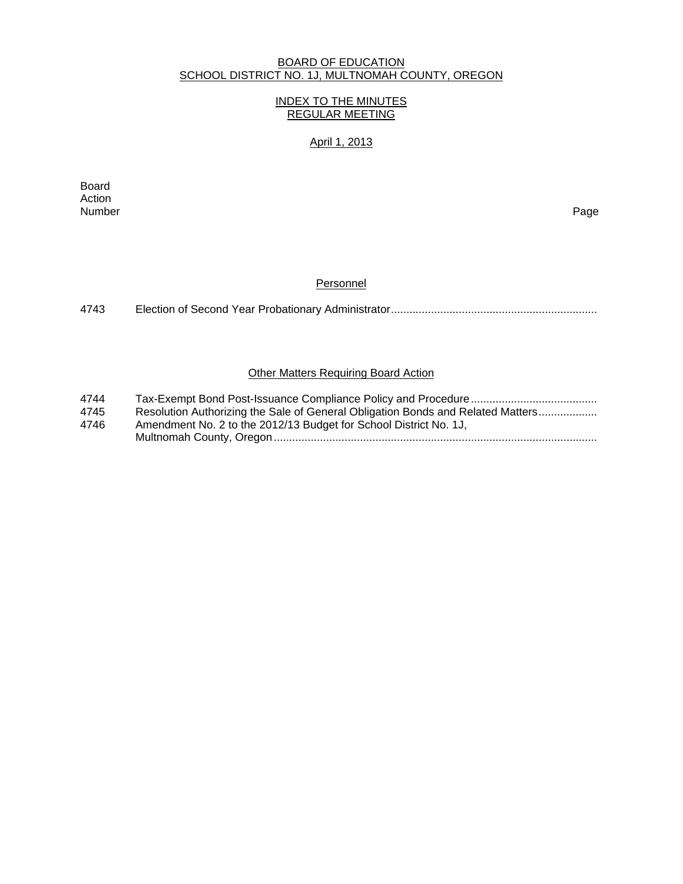#### BOARD OF EDUCATION SCHOOL DISTRICT NO. 1J, MULTNOMAH COUNTY, OREGON

## INDEX TO THE MINUTES REGULAR MEETING

# April 1, 2013

**Board Board** Action<br>Number Number Page

## **Personnel**

| 4743 |  |
|------|--|
|      |  |

## **Other Matters Requiring Board Action**

| 4744 |                                                                                 |
|------|---------------------------------------------------------------------------------|
| 4745 | Resolution Authorizing the Sale of General Obligation Bonds and Related Matters |

4746 Amendment No. 2 to the 2012/13 Budget for School District No. 1J, Multnomah County, Oregon .........................................................................................................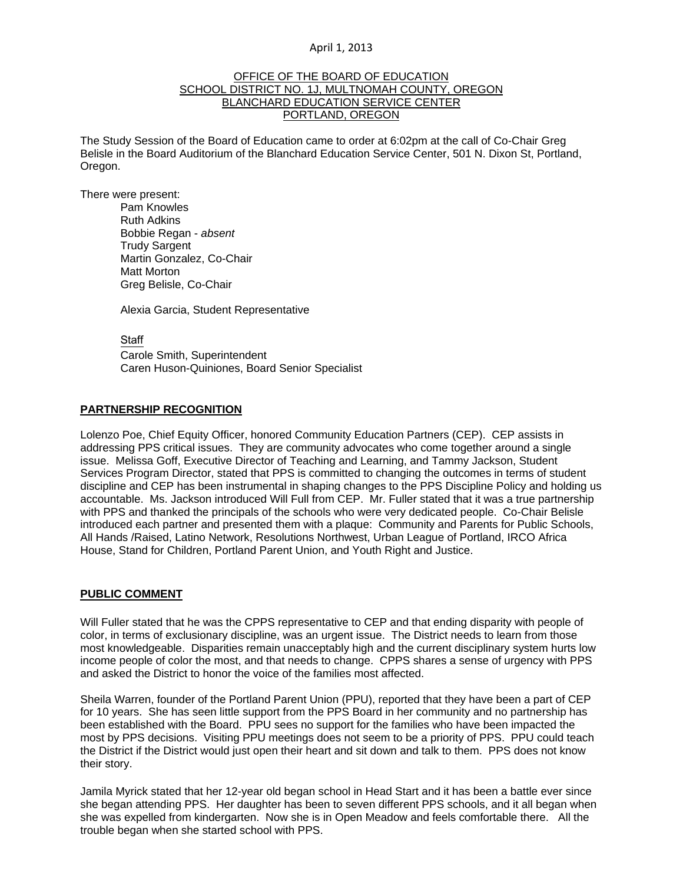## OFFICE OF THE BOARD OF EDUCATION SCHOOL DISTRICT NO. 1J, MULTNOMAH COUNTY, OREGON BLANCHARD EDUCATION SERVICE CENTER PORTLAND, OREGON

The Study Session of the Board of Education came to order at 6:02pm at the call of Co-Chair Greg Belisle in the Board Auditorium of the Blanchard Education Service Center, 501 N. Dixon St, Portland, Oregon.

There were present: Pam Knowles

Ruth Adkins Bobbie Regan - *absent* Trudy Sargent Martin Gonzalez, Co-Chair Matt Morton Greg Belisle, Co-Chair

Alexia Garcia, Student Representative

**Staff** 

 Carole Smith, Superintendent Caren Huson-Quiniones, Board Senior Specialist

### **PARTNERSHIP RECOGNITION**

Lolenzo Poe, Chief Equity Officer, honored Community Education Partners (CEP). CEP assists in addressing PPS critical issues. They are community advocates who come together around a single issue. Melissa Goff, Executive Director of Teaching and Learning, and Tammy Jackson, Student Services Program Director, stated that PPS is committed to changing the outcomes in terms of student discipline and CEP has been instrumental in shaping changes to the PPS Discipline Policy and holding us accountable. Ms. Jackson introduced Will Full from CEP. Mr. Fuller stated that it was a true partnership with PPS and thanked the principals of the schools who were very dedicated people. Co-Chair Belisle introduced each partner and presented them with a plaque: Community and Parents for Public Schools, All Hands /Raised, Latino Network, Resolutions Northwest, Urban League of Portland, IRCO Africa House, Stand for Children, Portland Parent Union, and Youth Right and Justice.

### **PUBLIC COMMENT**

Will Fuller stated that he was the CPPS representative to CEP and that ending disparity with people of color, in terms of exclusionary discipline, was an urgent issue. The District needs to learn from those most knowledgeable. Disparities remain unacceptably high and the current disciplinary system hurts low income people of color the most, and that needs to change. CPPS shares a sense of urgency with PPS and asked the District to honor the voice of the families most affected.

Sheila Warren, founder of the Portland Parent Union (PPU), reported that they have been a part of CEP for 10 years. She has seen little support from the PPS Board in her community and no partnership has been established with the Board. PPU sees no support for the families who have been impacted the most by PPS decisions. Visiting PPU meetings does not seem to be a priority of PPS. PPU could teach the District if the District would just open their heart and sit down and talk to them. PPS does not know their story.

Jamila Myrick stated that her 12-year old began school in Head Start and it has been a battle ever since she began attending PPS. Her daughter has been to seven different PPS schools, and it all began when she was expelled from kindergarten. Now she is in Open Meadow and feels comfortable there. All the trouble began when she started school with PPS.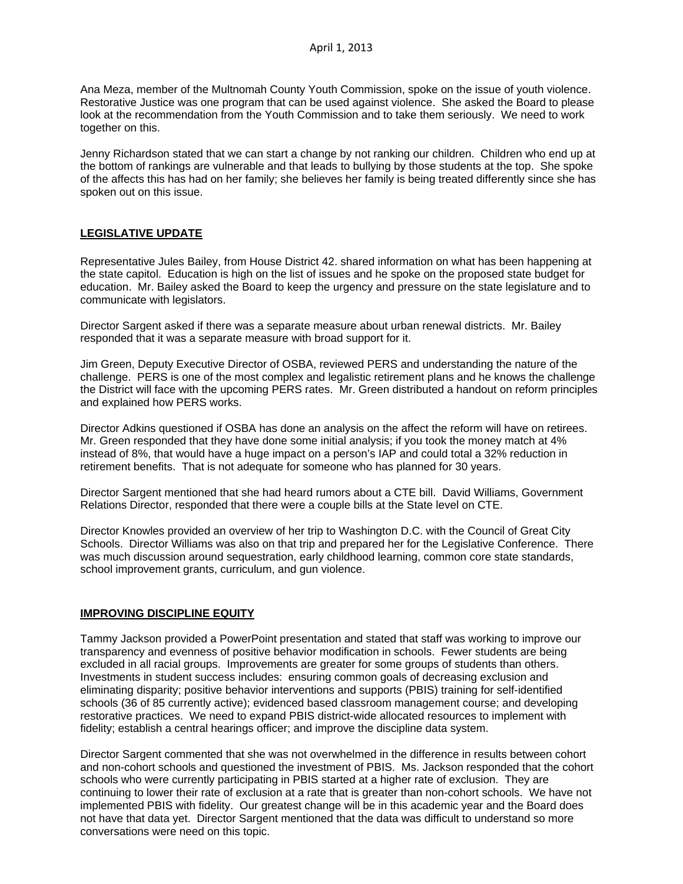Ana Meza, member of the Multnomah County Youth Commission, spoke on the issue of youth violence. Restorative Justice was one program that can be used against violence. She asked the Board to please look at the recommendation from the Youth Commission and to take them seriously. We need to work together on this.

Jenny Richardson stated that we can start a change by not ranking our children. Children who end up at the bottom of rankings are vulnerable and that leads to bullying by those students at the top. She spoke of the affects this has had on her family; she believes her family is being treated differently since she has spoken out on this issue.

## **LEGISLATIVE UPDATE**

Representative Jules Bailey, from House District 42. shared information on what has been happening at the state capitol. Education is high on the list of issues and he spoke on the proposed state budget for education. Mr. Bailey asked the Board to keep the urgency and pressure on the state legislature and to communicate with legislators.

Director Sargent asked if there was a separate measure about urban renewal districts. Mr. Bailey responded that it was a separate measure with broad support for it.

Jim Green, Deputy Executive Director of OSBA, reviewed PERS and understanding the nature of the challenge. PERS is one of the most complex and legalistic retirement plans and he knows the challenge the District will face with the upcoming PERS rates. Mr. Green distributed a handout on reform principles and explained how PERS works.

Director Adkins questioned if OSBA has done an analysis on the affect the reform will have on retirees. Mr. Green responded that they have done some initial analysis; if you took the money match at 4% instead of 8%, that would have a huge impact on a person's IAP and could total a 32% reduction in retirement benefits. That is not adequate for someone who has planned for 30 years.

Director Sargent mentioned that she had heard rumors about a CTE bill. David Williams, Government Relations Director, responded that there were a couple bills at the State level on CTE.

Director Knowles provided an overview of her trip to Washington D.C. with the Council of Great City Schools. Director Williams was also on that trip and prepared her for the Legislative Conference. There was much discussion around sequestration, early childhood learning, common core state standards, school improvement grants, curriculum, and gun violence.

### **IMPROVING DISCIPLINE EQUITY**

Tammy Jackson provided a PowerPoint presentation and stated that staff was working to improve our transparency and evenness of positive behavior modification in schools. Fewer students are being excluded in all racial groups. Improvements are greater for some groups of students than others. Investments in student success includes: ensuring common goals of decreasing exclusion and eliminating disparity; positive behavior interventions and supports (PBIS) training for self-identified schools (36 of 85 currently active); evidenced based classroom management course; and developing restorative practices. We need to expand PBIS district-wide allocated resources to implement with fidelity; establish a central hearings officer; and improve the discipline data system.

Director Sargent commented that she was not overwhelmed in the difference in results between cohort and non-cohort schools and questioned the investment of PBIS. Ms. Jackson responded that the cohort schools who were currently participating in PBIS started at a higher rate of exclusion. They are continuing to lower their rate of exclusion at a rate that is greater than non-cohort schools. We have not implemented PBIS with fidelity. Our greatest change will be in this academic year and the Board does not have that data yet. Director Sargent mentioned that the data was difficult to understand so more conversations were need on this topic.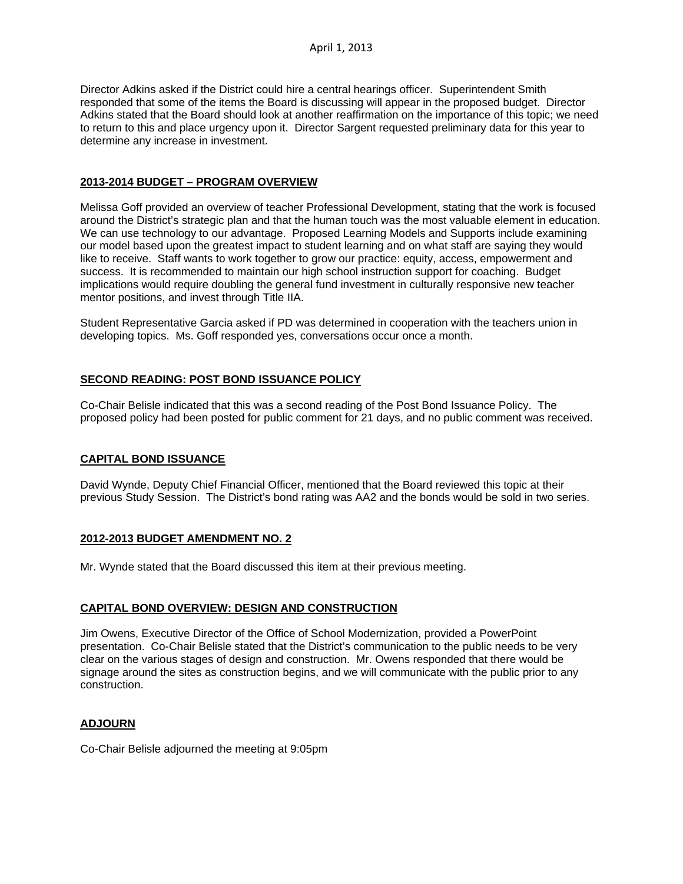Director Adkins asked if the District could hire a central hearings officer. Superintendent Smith responded that some of the items the Board is discussing will appear in the proposed budget. Director Adkins stated that the Board should look at another reaffirmation on the importance of this topic; we need to return to this and place urgency upon it. Director Sargent requested preliminary data for this year to determine any increase in investment.

## **2013-2014 BUDGET – PROGRAM OVERVIEW**

Melissa Goff provided an overview of teacher Professional Development, stating that the work is focused around the District's strategic plan and that the human touch was the most valuable element in education. We can use technology to our advantage. Proposed Learning Models and Supports include examining our model based upon the greatest impact to student learning and on what staff are saying they would like to receive. Staff wants to work together to grow our practice: equity, access, empowerment and success. It is recommended to maintain our high school instruction support for coaching. Budget implications would require doubling the general fund investment in culturally responsive new teacher mentor positions, and invest through Title IIA.

Student Representative Garcia asked if PD was determined in cooperation with the teachers union in developing topics. Ms. Goff responded yes, conversations occur once a month.

## **SECOND READING: POST BOND ISSUANCE POLICY**

Co-Chair Belisle indicated that this was a second reading of the Post Bond Issuance Policy. The proposed policy had been posted for public comment for 21 days, and no public comment was received.

### **CAPITAL BOND ISSUANCE**

David Wynde, Deputy Chief Financial Officer, mentioned that the Board reviewed this topic at their previous Study Session. The District's bond rating was AA2 and the bonds would be sold in two series.

### **2012-2013 BUDGET AMENDMENT NO. 2**

Mr. Wynde stated that the Board discussed this item at their previous meeting.

# **CAPITAL BOND OVERVIEW: DESIGN AND CONSTRUCTION**

Jim Owens, Executive Director of the Office of School Modernization, provided a PowerPoint presentation. Co-Chair Belisle stated that the District's communication to the public needs to be very clear on the various stages of design and construction. Mr. Owens responded that there would be signage around the sites as construction begins, and we will communicate with the public prior to any construction.

# **ADJOURN**

Co-Chair Belisle adjourned the meeting at 9:05pm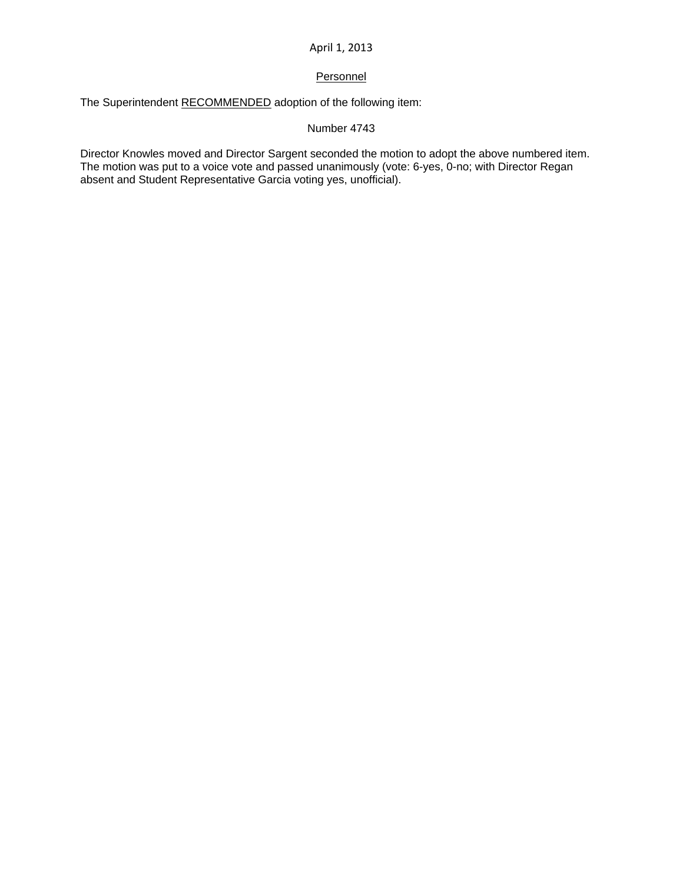# **Personnel**

The Superintendent RECOMMENDED adoption of the following item:

### Number 4743

Director Knowles moved and Director Sargent seconded the motion to adopt the above numbered item. The motion was put to a voice vote and passed unanimously (vote: 6-yes, 0-no; with Director Regan absent and Student Representative Garcia voting yes, unofficial).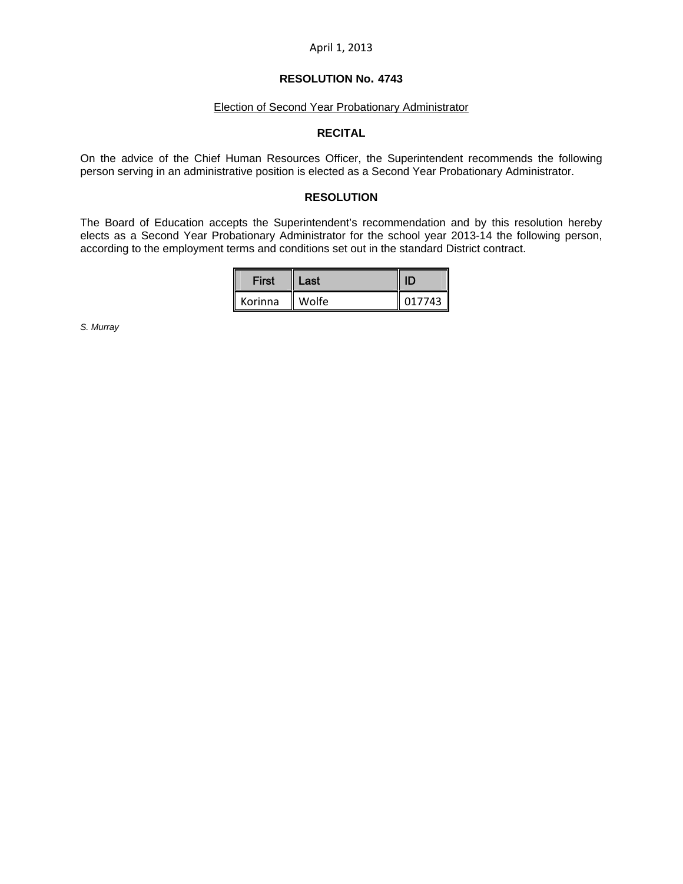## **RESOLUTION No. 4743**

## Election of Second Year Probationary Administrator

## **RECITAL**

On the advice of the Chief Human Resources Officer, the Superintendent recommends the following person serving in an administrative position is elected as a Second Year Probationary Administrator.

# **RESOLUTION**

The Board of Education accepts the Superintendent's recommendation and by this resolution hereby elects as a Second Year Probationary Administrator for the school year 2013-14 the following person, according to the employment terms and conditions set out in the standard District contract.

| <b>First</b><br>ll Last |       |        |  |  |
|-------------------------|-------|--------|--|--|
| Korinna                 | Wolfe | 017743 |  |  |

*S. Murray*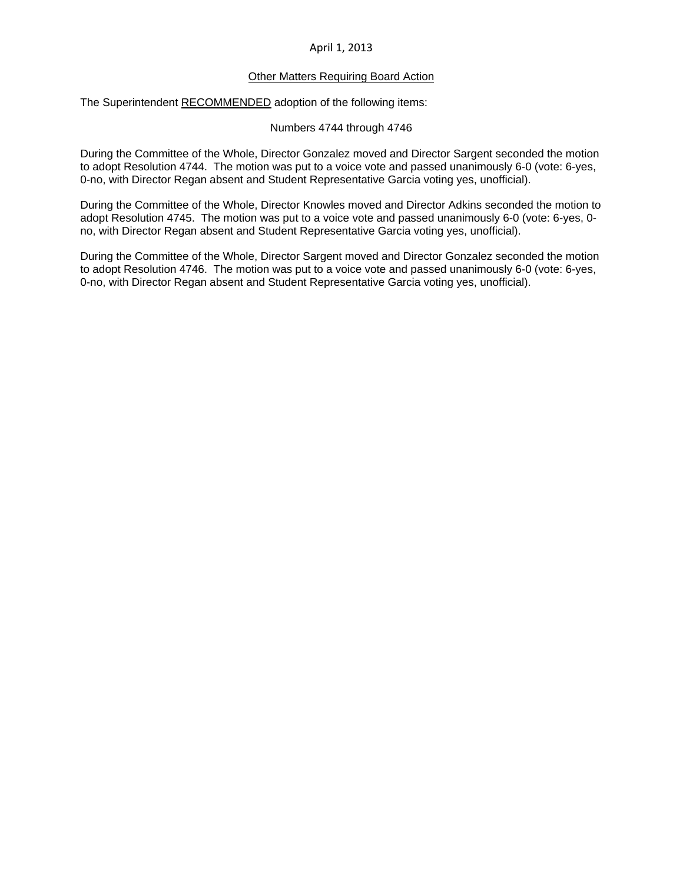## Other Matters Requiring Board Action

The Superintendent RECOMMENDED adoption of the following items:

### Numbers 4744 through 4746

During the Committee of the Whole, Director Gonzalez moved and Director Sargent seconded the motion to adopt Resolution 4744. The motion was put to a voice vote and passed unanimously 6-0 (vote: 6-yes, 0-no, with Director Regan absent and Student Representative Garcia voting yes, unofficial).

During the Committee of the Whole, Director Knowles moved and Director Adkins seconded the motion to adopt Resolution 4745. The motion was put to a voice vote and passed unanimously 6-0 (vote: 6-yes, 0 no, with Director Regan absent and Student Representative Garcia voting yes, unofficial).

During the Committee of the Whole, Director Sargent moved and Director Gonzalez seconded the motion to adopt Resolution 4746. The motion was put to a voice vote and passed unanimously 6-0 (vote: 6-yes, 0-no, with Director Regan absent and Student Representative Garcia voting yes, unofficial).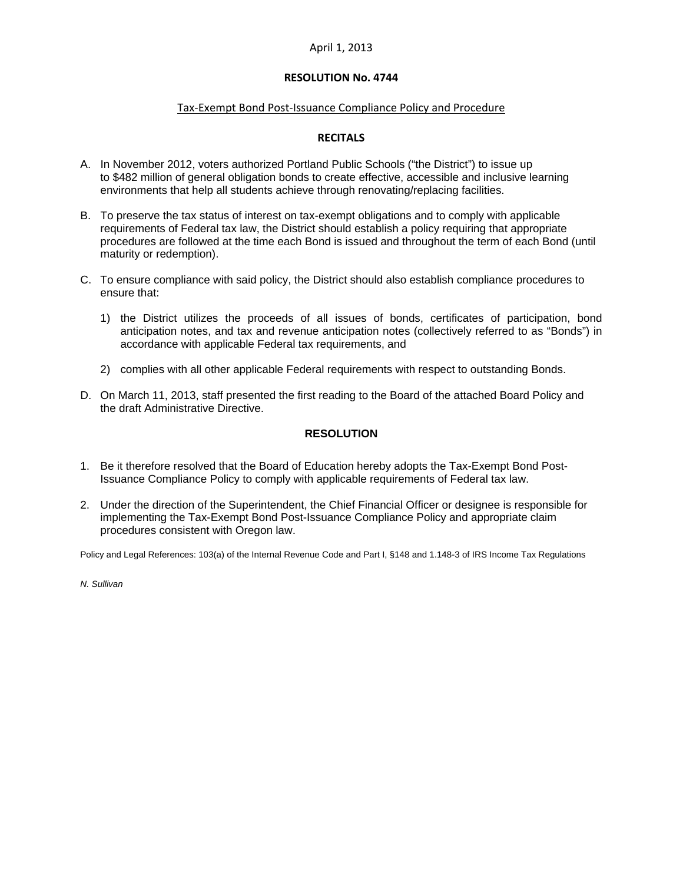### **RESOLUTION No. 4744**

### Tax‐Exempt Bond Post‐Issuance Compliance Policy and Procedure

## **RECITALS**

- A. In November 2012, voters authorized Portland Public Schools ("the District") to issue up to \$482 million of general obligation bonds to create effective, accessible and inclusive learning environments that help all students achieve through renovating/replacing facilities.
- B. To preserve the tax status of interest on tax-exempt obligations and to comply with applicable requirements of Federal tax law, the District should establish a policy requiring that appropriate procedures are followed at the time each Bond is issued and throughout the term of each Bond (until maturity or redemption).
- C. To ensure compliance with said policy, the District should also establish compliance procedures to ensure that:
	- 1) the District utilizes the proceeds of all issues of bonds, certificates of participation, bond anticipation notes, and tax and revenue anticipation notes (collectively referred to as "Bonds") in accordance with applicable Federal tax requirements, and
	- 2) complies with all other applicable Federal requirements with respect to outstanding Bonds.
- D. On March 11, 2013, staff presented the first reading to the Board of the attached Board Policy and the draft Administrative Directive.

## **RESOLUTION**

- 1. Be it therefore resolved that the Board of Education hereby adopts the Tax-Exempt Bond Post-Issuance Compliance Policy to comply with applicable requirements of Federal tax law.
- 2. Under the direction of the Superintendent, the Chief Financial Officer or designee is responsible for implementing the Tax-Exempt Bond Post-Issuance Compliance Policy and appropriate claim procedures consistent with Oregon law.

Policy and Legal References: 103(a) of the Internal Revenue Code and Part I, §148 and 1.148-3 of IRS Income Tax Regulations

*N. Sullivan*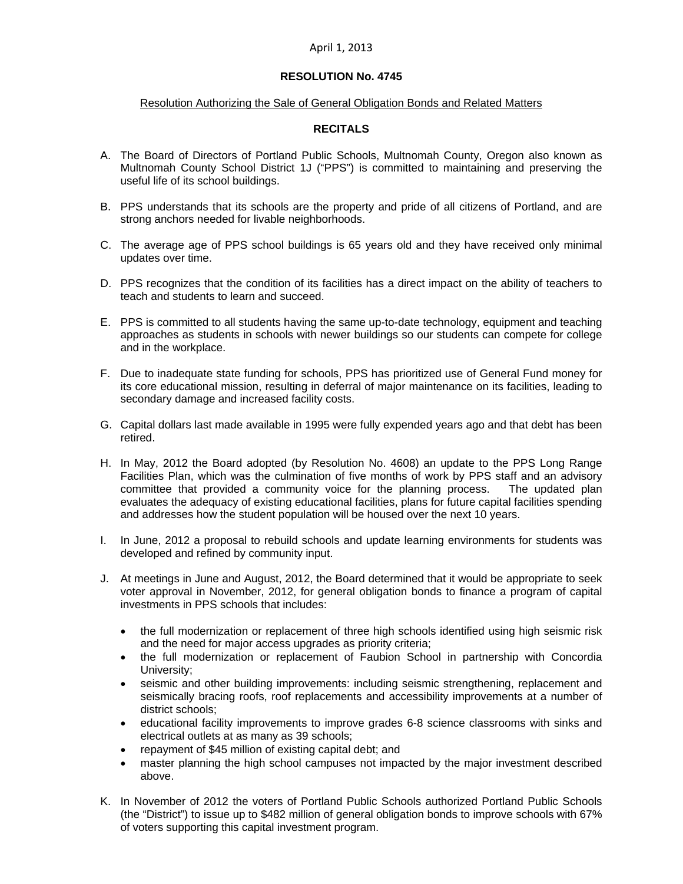## **RESOLUTION No. 4745**

## Resolution Authorizing the Sale of General Obligation Bonds and Related Matters

## **RECITALS**

- A. The Board of Directors of Portland Public Schools, Multnomah County, Oregon also known as Multnomah County School District 1J ("PPS") is committed to maintaining and preserving the useful life of its school buildings.
- B. PPS understands that its schools are the property and pride of all citizens of Portland, and are strong anchors needed for livable neighborhoods.
- C. The average age of PPS school buildings is 65 years old and they have received only minimal updates over time.
- D. PPS recognizes that the condition of its facilities has a direct impact on the ability of teachers to teach and students to learn and succeed.
- E. PPS is committed to all students having the same up-to-date technology, equipment and teaching approaches as students in schools with newer buildings so our students can compete for college and in the workplace.
- F. Due to inadequate state funding for schools, PPS has prioritized use of General Fund money for its core educational mission, resulting in deferral of major maintenance on its facilities, leading to secondary damage and increased facility costs.
- G. Capital dollars last made available in 1995 were fully expended years ago and that debt has been retired.
- H. In May, 2012 the Board adopted (by Resolution No. 4608) an update to the PPS Long Range Facilities Plan, which was the culmination of five months of work by PPS staff and an advisory committee that provided a community voice for the planning process. The updated plan evaluates the adequacy of existing educational facilities, plans for future capital facilities spending and addresses how the student population will be housed over the next 10 years.
- I. In June, 2012 a proposal to rebuild schools and update learning environments for students was developed and refined by community input.
- J. At meetings in June and August, 2012, the Board determined that it would be appropriate to seek voter approval in November, 2012, for general obligation bonds to finance a program of capital investments in PPS schools that includes:
	- the full modernization or replacement of three high schools identified using high seismic risk and the need for major access upgrades as priority criteria;
	- the full modernization or replacement of Faubion School in partnership with Concordia University;
	- seismic and other building improvements: including seismic strengthening, replacement and seismically bracing roofs, roof replacements and accessibility improvements at a number of district schools;
	- educational facility improvements to improve grades 6-8 science classrooms with sinks and electrical outlets at as many as 39 schools;
	- repayment of \$45 million of existing capital debt; and
	- master planning the high school campuses not impacted by the major investment described above.
- K. In November of 2012 the voters of Portland Public Schools authorized Portland Public Schools (the "District") to issue up to \$482 million of general obligation bonds to improve schools with 67% of voters supporting this capital investment program.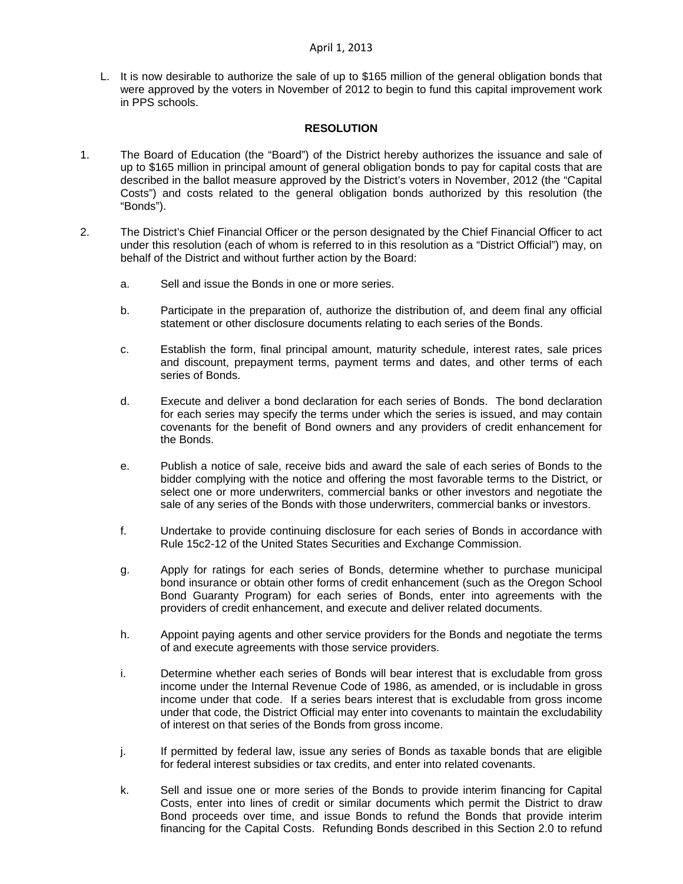L. It is now desirable to authorize the sale of up to \$165 million of the general obligation bonds that were approved by the voters in November of 2012 to begin to fund this capital improvement work in PPS schools.

## **RESOLUTION**

- 1. The Board of Education (the "Board") of the District hereby authorizes the issuance and sale of up to \$165 million in principal amount of general obligation bonds to pay for capital costs that are described in the ballot measure approved by the District's voters in November, 2012 (the "Capital Costs") and costs related to the general obligation bonds authorized by this resolution (the "Bonds").
- 2. The District's Chief Financial Officer or the person designated by the Chief Financial Officer to act under this resolution (each of whom is referred to in this resolution as a "District Official") may, on behalf of the District and without further action by the Board:
	- a. Sell and issue the Bonds in one or more series.
	- b. Participate in the preparation of, authorize the distribution of, and deem final any official statement or other disclosure documents relating to each series of the Bonds.
	- c. Establish the form, final principal amount, maturity schedule, interest rates, sale prices and discount, prepayment terms, payment terms and dates, and other terms of each series of Bonds.
	- d. Execute and deliver a bond declaration for each series of Bonds. The bond declaration for each series may specify the terms under which the series is issued, and may contain covenants for the benefit of Bond owners and any providers of credit enhancement for the Bonds.
	- e. Publish a notice of sale, receive bids and award the sale of each series of Bonds to the bidder complying with the notice and offering the most favorable terms to the District, or select one or more underwriters, commercial banks or other investors and negotiate the sale of any series of the Bonds with those underwriters, commercial banks or investors.
	- f. Undertake to provide continuing disclosure for each series of Bonds in accordance with Rule 15c2-12 of the United States Securities and Exchange Commission.
	- g. Apply for ratings for each series of Bonds, determine whether to purchase municipal bond insurance or obtain other forms of credit enhancement (such as the Oregon School Bond Guaranty Program) for each series of Bonds, enter into agreements with the providers of credit enhancement, and execute and deliver related documents.
	- h. Appoint paying agents and other service providers for the Bonds and negotiate the terms of and execute agreements with those service providers.
	- i. Determine whether each series of Bonds will bear interest that is excludable from gross income under the Internal Revenue Code of 1986, as amended, or is includable in gross income under that code. If a series bears interest that is excludable from gross income under that code, the District Official may enter into covenants to maintain the excludability of interest on that series of the Bonds from gross income.
	- j. If permitted by federal law, issue any series of Bonds as taxable bonds that are eligible for federal interest subsidies or tax credits, and enter into related covenants.
	- k. Sell and issue one or more series of the Bonds to provide interim financing for Capital Costs, enter into lines of credit or similar documents which permit the District to draw Bond proceeds over time, and issue Bonds to refund the Bonds that provide interim financing for the Capital Costs. Refunding Bonds described in this Section 2.0 to refund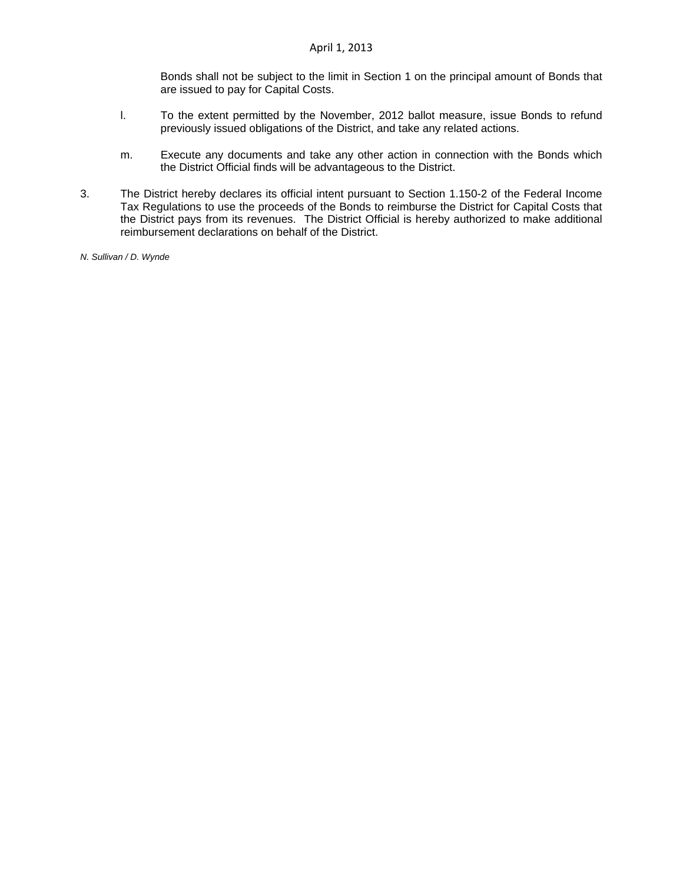Bonds shall not be subject to the limit in Section 1 on the principal amount of Bonds that are issued to pay for Capital Costs.

- l. To the extent permitted by the November, 2012 ballot measure, issue Bonds to refund previously issued obligations of the District, and take any related actions.
- m. Execute any documents and take any other action in connection with the Bonds which the District Official finds will be advantageous to the District.
- 3. The District hereby declares its official intent pursuant to Section 1.150-2 of the Federal Income Tax Regulations to use the proceeds of the Bonds to reimburse the District for Capital Costs that the District pays from its revenues. The District Official is hereby authorized to make additional reimbursement declarations on behalf of the District.

*N. Sullivan / D. Wynde*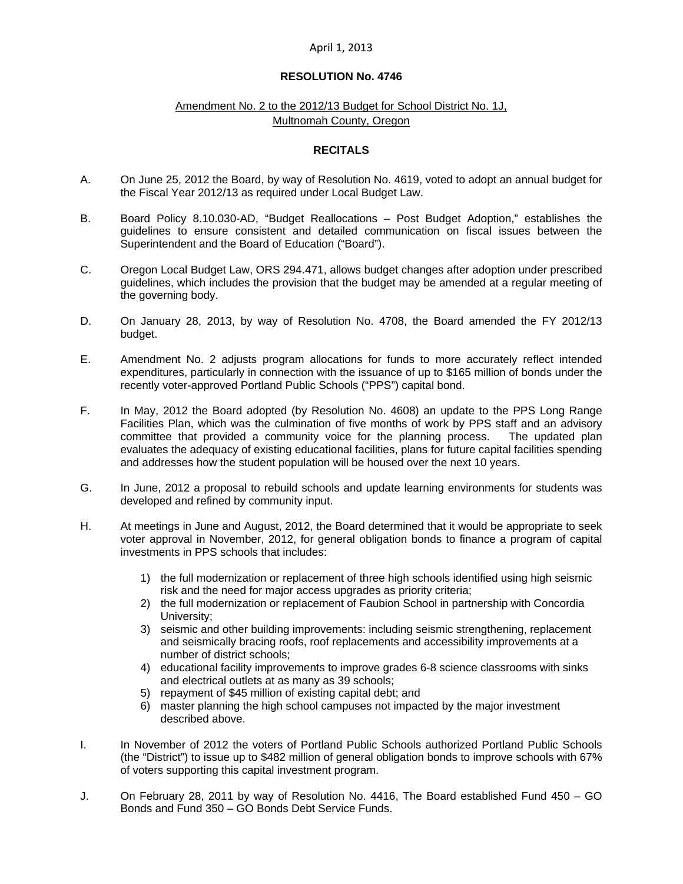## **RESOLUTION No. 4746**

## Amendment No. 2 to the 2012/13 Budget for School District No. 1J, Multnomah County, Oregon

## **RECITALS**

- A. On June 25, 2012 the Board, by way of Resolution No. 4619, voted to adopt an annual budget for the Fiscal Year 2012/13 as required under Local Budget Law.
- B. Board Policy 8.10.030-AD, "Budget Reallocations Post Budget Adoption," establishes the guidelines to ensure consistent and detailed communication on fiscal issues between the Superintendent and the Board of Education ("Board").
- C. Oregon Local Budget Law, ORS 294.471, allows budget changes after adoption under prescribed guidelines, which includes the provision that the budget may be amended at a regular meeting of the governing body.
- D. On January 28, 2013, by way of Resolution No. 4708, the Board amended the FY 2012/13 budget.
- E. Amendment No. 2 adjusts program allocations for funds to more accurately reflect intended expenditures, particularly in connection with the issuance of up to \$165 million of bonds under the recently voter-approved Portland Public Schools ("PPS") capital bond.
- F. In May, 2012 the Board adopted (by Resolution No. 4608) an update to the PPS Long Range Facilities Plan, which was the culmination of five months of work by PPS staff and an advisory committee that provided a community voice for the planning process. The updated plan evaluates the adequacy of existing educational facilities, plans for future capital facilities spending and addresses how the student population will be housed over the next 10 years.
- G. In June, 2012 a proposal to rebuild schools and update learning environments for students was developed and refined by community input.
- H. At meetings in June and August, 2012, the Board determined that it would be appropriate to seek voter approval in November, 2012, for general obligation bonds to finance a program of capital investments in PPS schools that includes:
	- 1) the full modernization or replacement of three high schools identified using high seismic risk and the need for major access upgrades as priority criteria;
	- 2) the full modernization or replacement of Faubion School in partnership with Concordia University;
	- 3) seismic and other building improvements: including seismic strengthening, replacement and seismically bracing roofs, roof replacements and accessibility improvements at a number of district schools;
	- 4) educational facility improvements to improve grades 6-8 science classrooms with sinks and electrical outlets at as many as 39 schools;
	- 5) repayment of \$45 million of existing capital debt; and
	- 6) master planning the high school campuses not impacted by the major investment described above.
- I. In November of 2012 the voters of Portland Public Schools authorized Portland Public Schools (the "District") to issue up to \$482 million of general obligation bonds to improve schools with 67% of voters supporting this capital investment program.
- J. On February 28, 2011 by way of Resolution No. 4416, The Board established Fund 450 GO Bonds and Fund 350 – GO Bonds Debt Service Funds.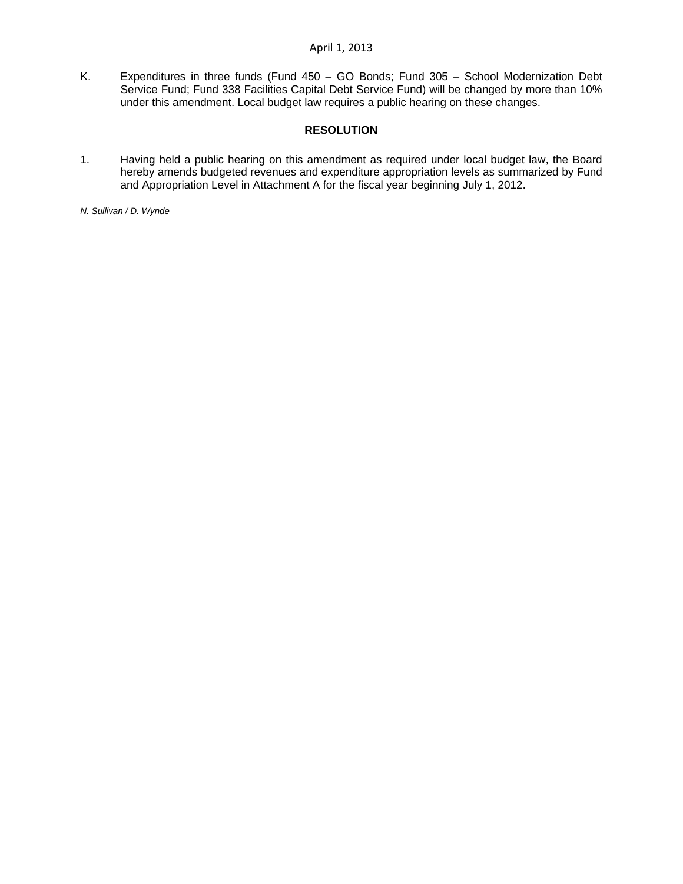K. Expenditures in three funds (Fund 450 – GO Bonds; Fund 305 – School Modernization Debt Service Fund; Fund 338 Facilities Capital Debt Service Fund) will be changed by more than 10% under this amendment. Local budget law requires a public hearing on these changes.

# **RESOLUTION**

1. Having held a public hearing on this amendment as required under local budget law, the Board hereby amends budgeted revenues and expenditure appropriation levels as summarized by Fund and Appropriation Level in Attachment A for the fiscal year beginning July 1, 2012.

*N. Sullivan / D. Wynde*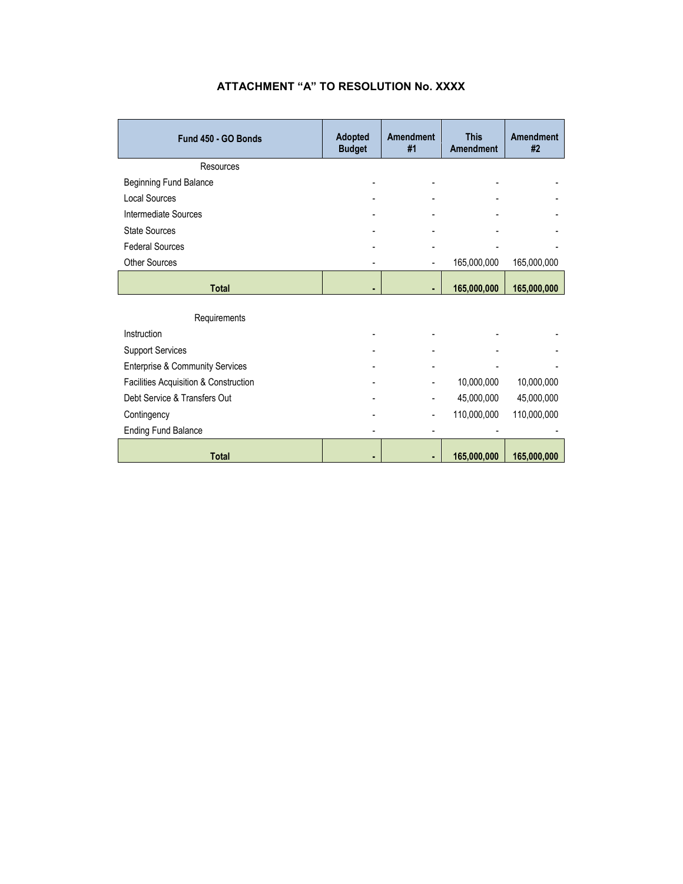| Fund 450 - GO Bonds                        | <b>Adopted</b><br><b>Budget</b> | <b>Amendment</b><br>#1   | <b>This</b><br><b>Amendment</b> | <b>Amendment</b><br>#2 |
|--------------------------------------------|---------------------------------|--------------------------|---------------------------------|------------------------|
| Resources                                  |                                 |                          |                                 |                        |
| <b>Beginning Fund Balance</b>              |                                 |                          |                                 |                        |
| <b>Local Sources</b>                       |                                 |                          |                                 |                        |
| Intermediate Sources                       |                                 |                          |                                 |                        |
| <b>State Sources</b>                       |                                 |                          |                                 |                        |
| <b>Federal Sources</b>                     |                                 |                          |                                 |                        |
| <b>Other Sources</b>                       |                                 | $\overline{\phantom{a}}$ | 165,000,000                     | 165,000,000            |
| <b>Total</b>                               | ۰                               | ٠                        | 165,000,000                     | 165,000,000            |
| Requirements                               |                                 |                          |                                 |                        |
| Instruction                                |                                 |                          |                                 |                        |
| <b>Support Services</b>                    |                                 |                          |                                 |                        |
| <b>Enterprise &amp; Community Services</b> |                                 |                          |                                 |                        |
| Facilities Acquisition & Construction      |                                 | -                        | 10,000,000                      | 10,000,000             |
| Debt Service & Transfers Out               |                                 |                          | 45,000,000                      | 45,000,000             |
| Contingency                                |                                 | -                        | 110,000,000                     | 110,000,000            |
| <b>Ending Fund Balance</b>                 |                                 |                          |                                 |                        |
| <b>Total</b>                               | ٠                               | ٠                        | 165,000,000                     | 165,000,000            |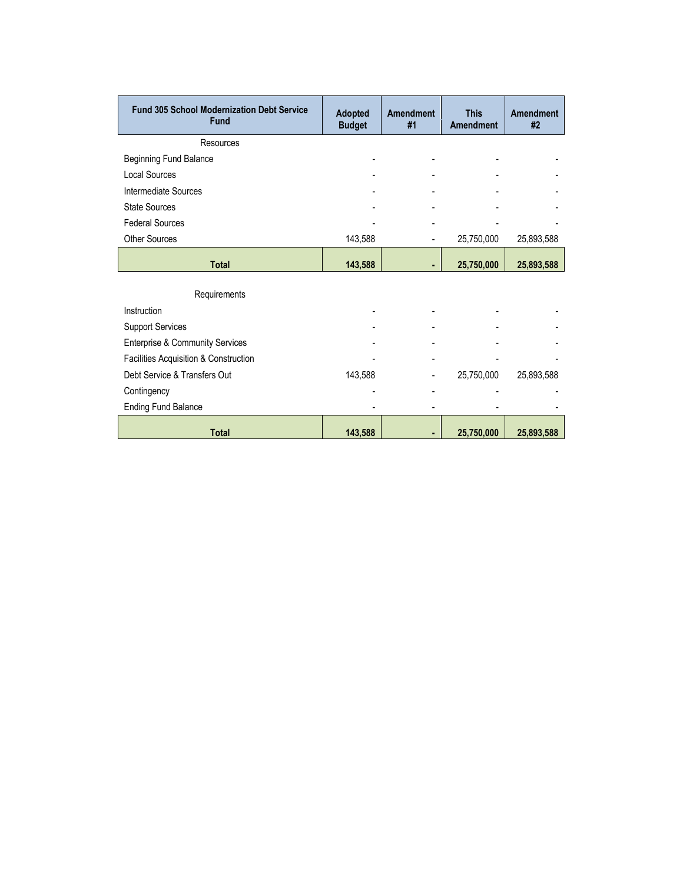| <b>Fund 305 School Modernization Debt Service</b><br><b>Fund</b> | <b>Adopted</b><br><b>Budget</b> | <b>Amendment</b><br>#1 | <b>This</b><br><b>Amendment</b> | <b>Amendment</b><br>#2 |
|------------------------------------------------------------------|---------------------------------|------------------------|---------------------------------|------------------------|
| Resources                                                        |                                 |                        |                                 |                        |
| Beginning Fund Balance                                           |                                 |                        |                                 |                        |
| <b>Local Sources</b>                                             |                                 |                        |                                 |                        |
| Intermediate Sources                                             |                                 |                        |                                 |                        |
| <b>State Sources</b>                                             |                                 |                        |                                 |                        |
| <b>Federal Sources</b>                                           |                                 |                        |                                 |                        |
| <b>Other Sources</b>                                             | 143,588                         |                        | 25,750,000                      | 25,893,588             |
| <b>Total</b>                                                     | 143,588                         | ä,                     | 25,750,000                      | 25,893,588             |
| Requirements                                                     |                                 |                        |                                 |                        |
| Instruction                                                      |                                 |                        |                                 |                        |
| <b>Support Services</b>                                          |                                 |                        |                                 |                        |
| <b>Enterprise &amp; Community Services</b>                       |                                 |                        |                                 |                        |
| Facilities Acquisition & Construction                            |                                 |                        |                                 |                        |
| Debt Service & Transfers Out                                     | 143,588                         |                        | 25,750,000                      | 25,893,588             |
| Contingency                                                      |                                 |                        |                                 |                        |
| <b>Ending Fund Balance</b>                                       |                                 |                        |                                 |                        |
| <b>Total</b>                                                     | 143,588                         | ٠                      | 25,750,000                      | 25,893,588             |